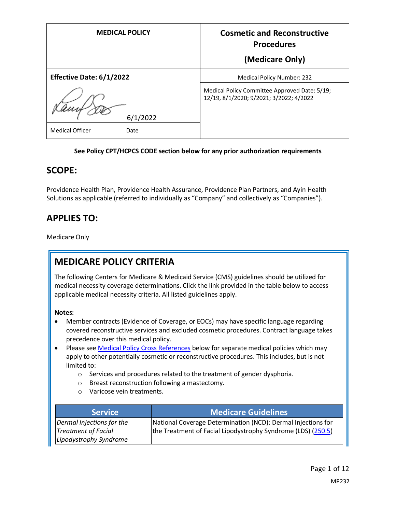| <b>MEDICAL POLICY</b>           | <b>Cosmetic and Reconstructive</b><br><b>Procedures</b>                                  |
|---------------------------------|------------------------------------------------------------------------------------------|
|                                 | (Medicare Only)                                                                          |
| <b>Effective Date: 6/1/2022</b> | <b>Medical Policy Number: 232</b>                                                        |
| 6/1/2022                        | Medical Policy Committee Approved Date: 5/19;<br>12/19, 8/1/2020; 9/2021; 3/2022; 4/2022 |
| <b>Medical Officer</b><br>Date  |                                                                                          |

#### **See Policy CPT/HCPCS CODE section below for any prior authorization requirements**

### **SCOPE:**

Providence Health Plan, Providence Health Assurance, Providence Plan Partners, and Ayin Health Solutions as applicable (referred to individually as "Company" and collectively as "Companies").

# **APPLIES TO:**

Medicare Only

# **MEDICARE POLICY CRITERIA**

The following Centers for Medicare & Medicaid Service (CMS) guidelines should be utilized for medical necessity coverage determinations. Click the link provided in the table below to access applicable medical necessity criteria. All listed guidelines apply.

#### **Notes:**

- Member contracts (Evidence of Coverage, or EOCs) may have specific language regarding covered reconstructive services and excluded cosmetic procedures. Contract language takes precedence over this medical policy.
- Please see [Medical Policy Cross References](#page-10-0) below for separate medical policies which may apply to other potentially cosmetic or reconstructive procedures. This includes, but is not limited to:
	- o Services and procedures related to the treatment of gender dysphoria.
	- o Breast reconstruction following a mastectomy.
	- o Varicose vein treatments.

| <b>Service</b>                                          | <b>Medicare Guidelines</b>                                                                                                   |
|---------------------------------------------------------|------------------------------------------------------------------------------------------------------------------------------|
| Dermal Injections for the<br><b>Treatment of Facial</b> | National Coverage Determination (NCD): Dermal Injections for<br>the Treatment of Facial Lipodystrophy Syndrome (LDS) (250.5) |
| Lipodystrophy Syndrome                                  |                                                                                                                              |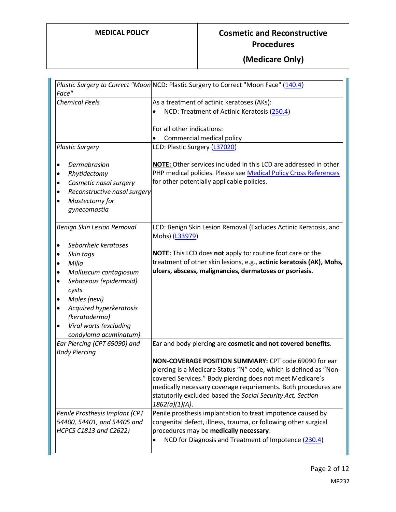| Face"                               | Plastic Surgery to Correct "Moon NCD: Plastic Surgery to Correct "Moon Face" (140.4) |
|-------------------------------------|--------------------------------------------------------------------------------------|
| <b>Chemical Peels</b>               | As a treatment of actinic keratoses (AKs):                                           |
|                                     | NCD: Treatment of Actinic Keratosis (250.4)                                          |
|                                     | For all other indications:                                                           |
|                                     | Commercial medical policy                                                            |
| <b>Plastic Surgery</b>              | LCD: Plastic Surgery (L37020)                                                        |
| Dermabrasion<br>٠                   | NOTE: Other services included in this LCD are addressed in other                     |
| Rhytidectomy<br>٠                   | PHP medical policies. Please see Medical Policy Cross References                     |
| Cosmetic nasal surgery<br>$\bullet$ | for other potentially applicable policies.                                           |
| Reconstructive nasal surgery<br>٠   |                                                                                      |
| Mastectomy for<br>$\bullet$         |                                                                                      |
| gynecomastia                        |                                                                                      |
| <b>Benign Skin Lesion Removal</b>   | LCD: Benign Skin Lesion Removal (Excludes Actinic Keratosis, and                     |
|                                     | Mohs) (L33979)                                                                       |
| Seborrheic keratoses<br>$\bullet$   |                                                                                      |
| Skin tags<br>$\bullet$              | <b>NOTE:</b> This LCD does not apply to: routine foot care or the                    |
| Milia<br>$\bullet$                  | treatment of other skin lesions, e.g., actinic keratosis (AK), Mohs,                 |
| Molluscum contagiosum<br>٠          | ulcers, abscess, malignancies, dermatoses or psoriasis.                              |
| Sebaceous (epidermoid)<br>$\bullet$ |                                                                                      |
| cysts                               |                                                                                      |
| Moles (nevi)<br>$\bullet$           |                                                                                      |
| Acquired hyperkeratosis<br>٠        |                                                                                      |
| (keratoderma)                       |                                                                                      |
| Viral warts (excluding<br>$\bullet$ |                                                                                      |
| condyloma acuminatum)               |                                                                                      |
| Ear Piercing (CPT 69090) and        | Ear and body piercing are cosmetic and not covered benefits.                         |
| <b>Body Piercing</b>                | NON-COVERAGE POSITION SUMMARY: CPT code 69090 for ear                                |
|                                     | piercing is a Medicare Status "N" code, which is defined as "Non-                    |
|                                     | covered Services." Body piercing does not meet Medicare's                            |
|                                     | medically necessary coverage requriements. Both procedures are                       |
|                                     | statutorily excluded based the Social Security Act, Section                          |
|                                     | 1862(a)(1)(A).                                                                       |
| Penile Prosthesis Implant (CPT      | Penile prosthesis implantation to treat impotence caused by                          |
| 54400, 54401, and 54405 and         | congenital defect, illness, trauma, or following other surgical                      |
| <b>HCPCS C1813 and C2622)</b>       | procedures may be medically necessary:                                               |
|                                     | NCD for Diagnosis and Treatment of Impotence (230.4)                                 |
|                                     |                                                                                      |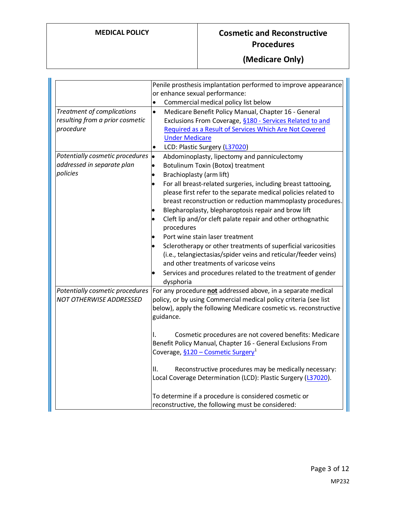|                                                                            | Penile prosthesis implantation performed to improve appearance                                                                                                                                                                                                                                                                                                                                                                                                                                                                                                                                                                                      |
|----------------------------------------------------------------------------|-----------------------------------------------------------------------------------------------------------------------------------------------------------------------------------------------------------------------------------------------------------------------------------------------------------------------------------------------------------------------------------------------------------------------------------------------------------------------------------------------------------------------------------------------------------------------------------------------------------------------------------------------------|
|                                                                            | or enhance sexual performance:                                                                                                                                                                                                                                                                                                                                                                                                                                                                                                                                                                                                                      |
|                                                                            | Commercial medical policy list below<br>$\bullet$                                                                                                                                                                                                                                                                                                                                                                                                                                                                                                                                                                                                   |
| Treatment of complications<br>resulting from a prior cosmetic<br>procedure | Medicare Benefit Policy Manual, Chapter 16 - General<br>$\bullet$<br>Exclusions From Coverage, §180 - Services Related to and<br>Required as a Result of Services Which Are Not Covered<br><b>Under Medicare</b>                                                                                                                                                                                                                                                                                                                                                                                                                                    |
|                                                                            | LCD: Plastic Surgery (L37020)<br>$\bullet$                                                                                                                                                                                                                                                                                                                                                                                                                                                                                                                                                                                                          |
| Potentially cosmetic procedures<br>addressed in separate plan<br>policies  | $\bullet$<br>Abdominoplasty, lipectomy and panniculectomy<br>Botulinum Toxin (Botox) treatment<br>$\bullet$<br>Brachioplasty (arm lift)<br>For all breast-related surgeries, including breast tattooing,<br>please first refer to the separate medical policies related to<br>breast reconstruction or reduction mammoplasty procedures.<br>Blepharoplasty, blepharoptosis repair and brow lift<br>Cleft lip and/or cleft palate repair and other orthognathic<br>procedures<br>Port wine stain laser treatment<br>Sclerotherapy or other treatments of superficial varicosities<br>(i.e., telangiectasias/spider veins and reticular/feeder veins) |
|                                                                            | and other treatments of varicose veins<br>Services and procedures related to the treatment of gender                                                                                                                                                                                                                                                                                                                                                                                                                                                                                                                                                |
| Potentially cosmetic procedures<br>NOT OTHERWISE ADDRESSED                 | dysphoria<br>For any procedure not addressed above, in a separate medical<br>policy, or by using Commercial medical policy criteria (see list<br>below), apply the following Medicare cosmetic vs. reconstructive<br>guidance.                                                                                                                                                                                                                                                                                                                                                                                                                      |
|                                                                            | Cosmetic procedures are not covered benefits: Medicare<br>I.<br>Benefit Policy Manual, Chapter 16 - General Exclusions From<br>Coverage, §120 – Cosmetic Surgery <sup>1</sup>                                                                                                                                                                                                                                                                                                                                                                                                                                                                       |
|                                                                            | Reconstructive procedures may be medically necessary:<br>Ⅱ.<br>Local Coverage Determination (LCD): Plastic Surgery (L37020).                                                                                                                                                                                                                                                                                                                                                                                                                                                                                                                        |
|                                                                            | To determine if a procedure is considered cosmetic or<br>reconstructive, the following must be considered:                                                                                                                                                                                                                                                                                                                                                                                                                                                                                                                                          |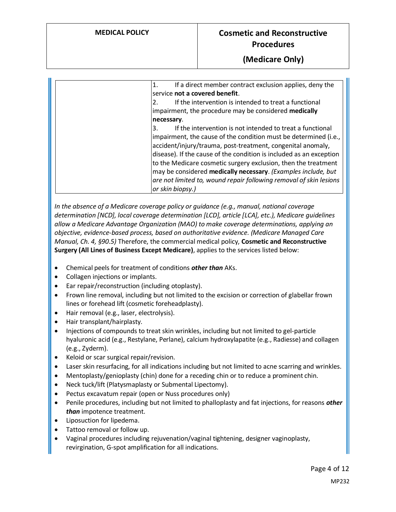### **(Medicare Only)**

| If a direct member contract exclusion applies, deny the<br>1.<br>service not a covered benefit.                                     |
|-------------------------------------------------------------------------------------------------------------------------------------|
| If the intervention is intended to treat a functional<br>2.                                                                         |
| impairment, the procedure may be considered medically<br>necessary.                                                                 |
| If the intervention is not intended to treat a functional<br>3.                                                                     |
| impairment, the cause of the condition must be determined (i.e.,<br>accident/injury/trauma, post-treatment, congenital anomaly,     |
| disease). If the cause of the condition is included as an exception                                                                 |
| to the Medicare cosmetic surgery exclusion, then the treatment                                                                      |
| may be considered medically necessary. (Examples include, but<br>are not limited to, wound repair following removal of skin lesions |
| or skin biopsy.)                                                                                                                    |

*In the absence of a Medicare coverage policy or guidance (e.g., manual, national coverage determination [NCD], local coverage determination [LCD], article [LCA], etc.), Medicare guidelines allow a Medicare Advantage Organization (MAO) to make coverage determinations, applying an objective, evidence-based process, based on authoritative evidence. (Medicare Managed Care Manual, Ch. 4, §90.5)* Therefore, the commercial medical policy, **Cosmetic and Reconstructive Surgery (All Lines of Business Except Medicare)**, applies to the services listed below:

- Chemical peels for treatment of conditions *other than* AKs.
- Collagen injections or implants.
- Ear repair/reconstruction (including otoplasty).
- Frown line removal, including but not limited to the excision or correction of glabellar frown lines or forehead lift (cosmetic foreheadplasty).
- Hair removal (e.g., laser, electrolysis).
- Hair transplant/hairplasty.
- Injections of compounds to treat skin wrinkles, including but not limited to gel-particle hyaluronic acid (e.g., Restylane, Perlane), calcium hydroxylapatite (e.g., Radiesse) and collagen (e.g., Zyderm).
- Keloid or scar surgical repair/revision.
- Laser skin resurfacing, for all indications including but not limited to acne scarring and wrinkles.
- Mentoplasty/genioplasty (chin) done for a receding chin or to reduce a prominent chin.
- Neck tuck/lift (Platysmaplasty or Submental Lipectomy).
- Pectus excavatum repair (open or Nuss procedures only)
- Penile procedures, including but not limited to phalloplasty and fat injections, for reasons *other than* impotence treatment.
- Liposuction for lipedema.
- Tattoo removal or follow up.
- Vaginal procedures including rejuvenation/vaginal tightening, designer vaginoplasty, revirgination, G-spot amplification for all indications.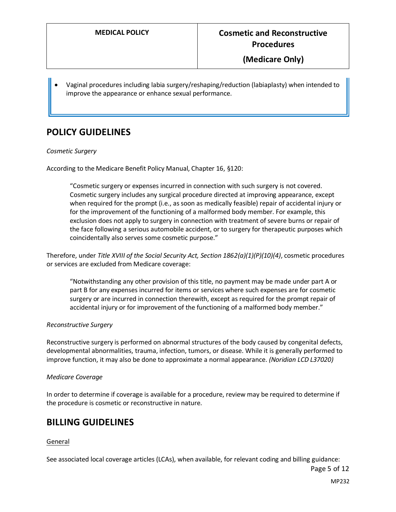• Vaginal procedures including labia surgery/reshaping/reduction (labiaplasty) when intended to improve the appearance or enhance sexual performance.

## **POLICY GUIDELINES**

#### *Cosmetic Surgery*

According to the Medicare Benefit Policy Manual, Chapter 16, §120:

"Cosmetic surgery or expenses incurred in connection with such surgery is not covered. Cosmetic surgery includes any surgical procedure directed at improving appearance, except when required for the prompt (i.e., as soon as medically feasible) repair of accidental injury or for the improvement of the functioning of a malformed body member. For example, this exclusion does not apply to surgery in connection with treatment of severe burns or repair of the face following a serious automobile accident, or to surgery for therapeutic purposes which coincidentally also serves some cosmetic purpose."

Therefore, under *Title XVIII of the Social Security Act, Section 1862(a)(1)(P)(10)(4)*, cosmetic procedures or services are excluded from Medicare coverage:

"Notwithstanding any other provision of this title, no payment may be made under part A or part B for any expenses incurred for items or services where such expenses are for cosmetic surgery or are incurred in connection therewith, except as required for the prompt repair of accidental injury or for improvement of the functioning of a malformed body member."

#### *Reconstructive Surgery*

Reconstructive surgery is performed on abnormal structures of the body caused by congenital defects, developmental abnormalities, trauma, infection, tumors, or disease. While it is generally performed to improve function, it may also be done to approximate a normal appearance. *(Noridian LCD L37020)*

#### *Medicare Coverage*

In order to determine if coverage is available for a procedure, review may be required to determine if the procedure is cosmetic or reconstructive in nature.

### **BILLING GUIDELINES**

#### General

See associated local coverage articles (LCAs), when available, for relevant coding and billing guidance:

Page 5 of 12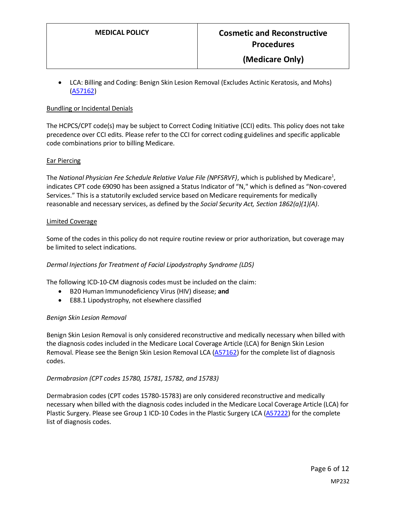• LCA: Billing and Coding: Benign Skin Lesion Removal (Excludes Actinic Keratosis, and Mohs) [\(A57162\)](https://www.cms.gov/medicare-coverage-database/details/article-details.aspx?articleId=57162&ver=3&LCDId=33979)

#### Bundling or Incidental Denials

The HCPCS/CPT code(s) may be subject to Correct Coding Initiative (CCI) edits. This policy does not take precedence over CCI edits. Please refer to the CCI for correct coding guidelines and specific applicable code combinations prior to billing Medicare.

#### Ear Piercing

The National Physician Fee Schedule Relative Value File (NPFSRVF), which is published by Medicare<sup>1</sup>, indicates CPT code 69090 has been assigned a Status Indicator of "N," which is defined as "Non-covered Services." This is a statutorily excluded service based on Medicare requirements for medically reasonable and necessary services, as defined by the *Social Security Act, Section 1862(a)(1)(A)*.

#### Limited Coverage

Some of the codes in this policy do not require routine review or prior authorization, but coverage may be limited to select indications.

#### *Dermal Injections for Treatment of Facial Lipodystrophy Syndrome (LDS)*

The following ICD-10-CM diagnosis codes must be included on the claim:

- B20 Human Immunodeficiency Virus (HIV) disease; **and**
- E88.1 Lipodystrophy, not elsewhere classified

#### *Benign Skin Lesion Removal*

Benign Skin Lesion Removal is only considered reconstructive and medically necessary when billed with the diagnosis codes included in the Medicare Local Coverage Article (LCA) for Benign Skin Lesion Removal. Please see the Benign Skin Lesion Removal LCA [\(A57162\)](https://www.cms.gov/medicare-coverage-database/details/article-details.aspx?articleId=57162&ver=3&LCDId=33979) for the complete list of diagnosis codes.

#### *Dermabrasion (CPT codes 15780, 15781, 15782, and 15783)*

Dermabrasion codes (CPT codes 15780-15783) are only considered reconstructive and medically necessary when billed with the diagnosis codes included in the Medicare Local Coverage Article (LCA) for Plastic Surgery. Please see Group 1 ICD-10 Codes in the Plastic Surgery LCA [\(A57222\)](https://www.cms.gov/medicare-coverage-database/view/article.aspx?articleId=57222) for the complete list of diagnosis codes.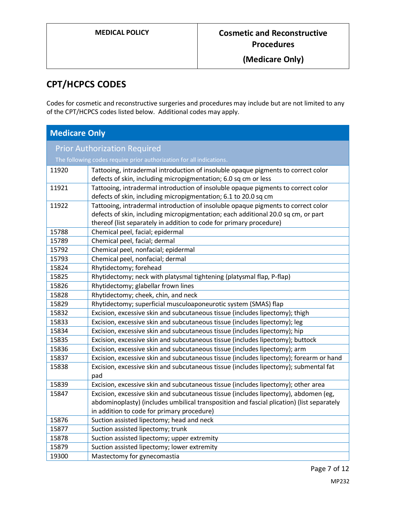# **CPT/HCPCS CODES**

Codes for cosmetic and reconstructive surgeries and procedures may include but are not limited to any of the CPT/HCPCS codes listed below. Additional codes may apply.

| <b>Medicare Only</b>                |                                                                                                                                                                                                                                               |
|-------------------------------------|-----------------------------------------------------------------------------------------------------------------------------------------------------------------------------------------------------------------------------------------------|
| <b>Prior Authorization Required</b> |                                                                                                                                                                                                                                               |
|                                     | The following codes require prior authorization for all indications.                                                                                                                                                                          |
| 11920                               | Tattooing, intradermal introduction of insoluble opaque pigments to correct color<br>defects of skin, including micropigmentation; 6.0 sq cm or less                                                                                          |
| 11921                               | Tattooing, intradermal introduction of insoluble opaque pigments to correct color<br>defects of skin, including micropigmentation; 6.1 to 20.0 sq cm                                                                                          |
| 11922                               | Tattooing, intradermal introduction of insoluble opaque pigments to correct color<br>defects of skin, including micropigmentation; each additional 20.0 sq cm, or part<br>thereof (list separately in addition to code for primary procedure) |
| 15788                               | Chemical peel, facial; epidermal                                                                                                                                                                                                              |
| 15789                               | Chemical peel, facial; dermal                                                                                                                                                                                                                 |
| 15792                               | Chemical peel, nonfacial; epidermal                                                                                                                                                                                                           |
| 15793                               | Chemical peel, nonfacial; dermal                                                                                                                                                                                                              |
| 15824                               | Rhytidectomy; forehead                                                                                                                                                                                                                        |
| 15825                               | Rhytidectomy; neck with platysmal tightening (platysmal flap, P-flap)                                                                                                                                                                         |
| 15826                               | Rhytidectomy; glabellar frown lines                                                                                                                                                                                                           |
| 15828                               | Rhytidectomy; cheek, chin, and neck                                                                                                                                                                                                           |
| 15829                               | Rhytidectomy; superficial musculoaponeurotic system (SMAS) flap                                                                                                                                                                               |
| 15832                               | Excision, excessive skin and subcutaneous tissue (includes lipectomy); thigh                                                                                                                                                                  |
| 15833                               | Excision, excessive skin and subcutaneous tissue (includes lipectomy); leg                                                                                                                                                                    |
| 15834                               | Excision, excessive skin and subcutaneous tissue (includes lipectomy); hip                                                                                                                                                                    |
| 15835                               | Excision, excessive skin and subcutaneous tissue (includes lipectomy); buttock                                                                                                                                                                |
| 15836                               | Excision, excessive skin and subcutaneous tissue (includes lipectomy); arm                                                                                                                                                                    |
| 15837                               | Excision, excessive skin and subcutaneous tissue (includes lipectomy); forearm or hand                                                                                                                                                        |
| 15838                               | Excision, excessive skin and subcutaneous tissue (includes lipectomy); submental fat<br>pad                                                                                                                                                   |
| 15839                               | Excision, excessive skin and subcutaneous tissue (includes lipectomy); other area                                                                                                                                                             |
| 15847                               | Excision, excessive skin and subcutaneous tissue (includes lipectomy), abdomen (eg,<br>abdominoplasty) (includes umbilical transposition and fascial plication) (list separately<br>in addition to code for primary procedure)                |
| 15876                               | Suction assisted lipectomy; head and neck                                                                                                                                                                                                     |
| 15877                               | Suction assisted lipectomy; trunk                                                                                                                                                                                                             |
| 15878                               | Suction assisted lipectomy; upper extremity                                                                                                                                                                                                   |
| 15879                               | Suction assisted lipectomy; lower extremity                                                                                                                                                                                                   |
| 19300                               | Mastectomy for gynecomastia                                                                                                                                                                                                                   |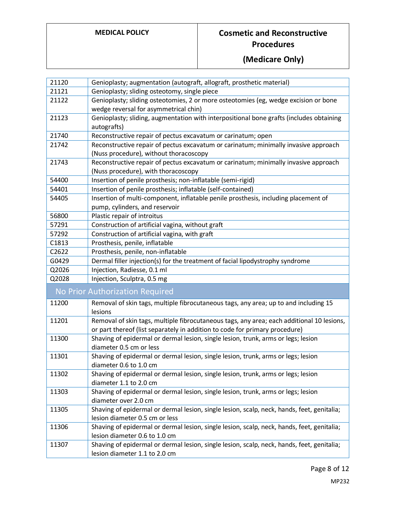| 21120 | Genioplasty; augmentation (autograft, allograft, prosthetic material)                           |
|-------|-------------------------------------------------------------------------------------------------|
| 21121 | Genioplasty; sliding osteotomy, single piece                                                    |
| 21122 | Genioplasty; sliding osteotomies, 2 or more osteotomies (eg, wedge excision or bone             |
|       | wedge reversal for asymmetrical chin)                                                           |
| 21123 | Genioplasty; sliding, augmentation with interpositional bone grafts (includes obtaining         |
|       | autografts)                                                                                     |
| 21740 | Reconstructive repair of pectus excavatum or carinatum; open                                    |
| 21742 | Reconstructive repair of pectus excavatum or carinatum; minimally invasive approach             |
|       | (Nuss procedure), without thoracoscopy                                                          |
| 21743 | Reconstructive repair of pectus excavatum or carinatum; minimally invasive approach             |
|       | (Nuss procedure), with thoracoscopy                                                             |
| 54400 | Insertion of penile prosthesis; non-inflatable (semi-rigid)                                     |
| 54401 | Insertion of penile prosthesis; inflatable (self-contained)                                     |
| 54405 | Insertion of multi-component, inflatable penile prosthesis, including placement of              |
|       | pump, cylinders, and reservoir                                                                  |
| 56800 | Plastic repair of introitus                                                                     |
| 57291 | Construction of artificial vagina, without graft                                                |
| 57292 | Construction of artificial vagina, with graft                                                   |
| C1813 | Prosthesis, penile, inflatable                                                                  |
| C2622 | Prosthesis, penile, non-inflatable                                                              |
| G0429 | Dermal filler injection(s) for the treatment of facial lipodystrophy syndrome                   |
| Q2026 | Injection, Radiesse, 0.1 ml                                                                     |
| Q2028 | Injection, Sculptra, 0.5 mg                                                                     |
|       | No Prior Authorization Required                                                                 |
| 11200 | Removal of skin tags, multiple fibrocutaneous tags, any area; up to and including 15<br>lesions |
| 11201 | Removal of skin tags, multiple fibrocutaneous tags, any area; each additional 10 lesions,       |
|       | or part thereof (list separately in addition to code for primary procedure)                     |
| 11300 | Shaving of epidermal or dermal lesion, single lesion, trunk, arms or legs; lesion               |
|       | diameter 0.5 cm or less                                                                         |
| 11301 | Shaving of epidermal or dermal lesion, single lesion, trunk, arms or legs; lesion               |
|       | diameter 0.6 to 1.0 cm                                                                          |
| 11302 | Shaving of epidermal or dermal lesion, single lesion, trunk, arms or legs; lesion               |
|       | diameter 1.1 to 2.0 cm                                                                          |
| 11303 | Shaving of epidermal or dermal lesion, single lesion, trunk, arms or legs; lesion               |
|       | diameter over 2.0 cm                                                                            |
| 11305 | Shaving of epidermal or dermal lesion, single lesion, scalp, neck, hands, feet, genitalia;      |
|       | lesion diameter 0.5 cm or less                                                                  |
| 11306 | Shaving of epidermal or dermal lesion, single lesion, scalp, neck, hands, feet, genitalia;      |
|       |                                                                                                 |
|       | lesion diameter 0.6 to 1.0 cm                                                                   |
| 11307 | Shaving of epidermal or dermal lesion, single lesion, scalp, neck, hands, feet, genitalia;      |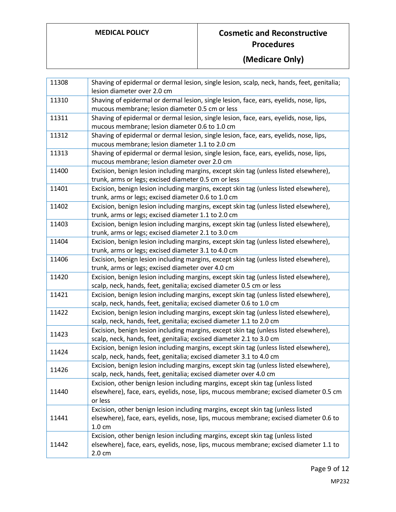| 11308 | Shaving of epidermal or dermal lesion, single lesion, scalp, neck, hands, feet, genitalia;<br>lesion diameter over 2.0 cm                                                                    |
|-------|----------------------------------------------------------------------------------------------------------------------------------------------------------------------------------------------|
| 11310 | Shaving of epidermal or dermal lesion, single lesion, face, ears, eyelids, nose, lips,<br>mucous membrane; lesion diameter 0.5 cm or less                                                    |
| 11311 | Shaving of epidermal or dermal lesion, single lesion, face, ears, eyelids, nose, lips,<br>mucous membrane; lesion diameter 0.6 to 1.0 cm                                                     |
| 11312 | Shaving of epidermal or dermal lesion, single lesion, face, ears, eyelids, nose, lips,<br>mucous membrane; lesion diameter 1.1 to 2.0 cm                                                     |
| 11313 | Shaving of epidermal or dermal lesion, single lesion, face, ears, eyelids, nose, lips,                                                                                                       |
|       | mucous membrane; lesion diameter over 2.0 cm                                                                                                                                                 |
| 11400 | Excision, benign lesion including margins, except skin tag (unless listed elsewhere),<br>trunk, arms or legs; excised diameter 0.5 cm or less                                                |
| 11401 | Excision, benign lesion including margins, except skin tag (unless listed elsewhere),<br>trunk, arms or legs; excised diameter 0.6 to 1.0 cm                                                 |
| 11402 | Excision, benign lesion including margins, except skin tag (unless listed elsewhere),<br>trunk, arms or legs; excised diameter 1.1 to 2.0 cm                                                 |
| 11403 | Excision, benign lesion including margins, except skin tag (unless listed elsewhere),<br>trunk, arms or legs; excised diameter 2.1 to 3.0 cm                                                 |
| 11404 | Excision, benign lesion including margins, except skin tag (unless listed elsewhere),<br>trunk, arms or legs; excised diameter 3.1 to 4.0 cm                                                 |
| 11406 | Excision, benign lesion including margins, except skin tag (unless listed elsewhere),<br>trunk, arms or legs; excised diameter over 4.0 cm                                                   |
| 11420 | Excision, benign lesion including margins, except skin tag (unless listed elsewhere),<br>scalp, neck, hands, feet, genitalia; excised diameter 0.5 cm or less                                |
| 11421 | Excision, benign lesion including margins, except skin tag (unless listed elsewhere),<br>scalp, neck, hands, feet, genitalia; excised diameter 0.6 to 1.0 cm                                 |
| 11422 | Excision, benign lesion including margins, except skin tag (unless listed elsewhere),<br>scalp, neck, hands, feet, genitalia; excised diameter 1.1 to 2.0 cm                                 |
| 11423 | Excision, benign lesion including margins, except skin tag (unless listed elsewhere),<br>scalp, neck, hands, feet, genitalia; excised diameter 2.1 to 3.0 cm                                 |
| 11424 | Excision, benign lesion including margins, except skin tag (unless listed elsewhere),<br>scalp, neck, hands, feet, genitalia; excised diameter 3.1 to 4.0 cm                                 |
| 11426 | Excision, benign lesion including margins, except skin tag (unless listed elsewhere),<br>scalp, neck, hands, feet, genitalia; excised diameter over 4.0 cm                                   |
| 11440 | Excision, other benign lesion including margins, except skin tag (unless listed<br>elsewhere), face, ears, eyelids, nose, lips, mucous membrane; excised diameter 0.5 cm<br>or less          |
| 11441 | Excision, other benign lesion including margins, except skin tag (unless listed<br>elsewhere), face, ears, eyelids, nose, lips, mucous membrane; excised diameter 0.6 to<br>$1.0 \text{ cm}$ |
| 11442 | Excision, other benign lesion including margins, except skin tag (unless listed<br>elsewhere), face, ears, eyelids, nose, lips, mucous membrane; excised diameter 1.1 to<br>$2.0 \text{ cm}$ |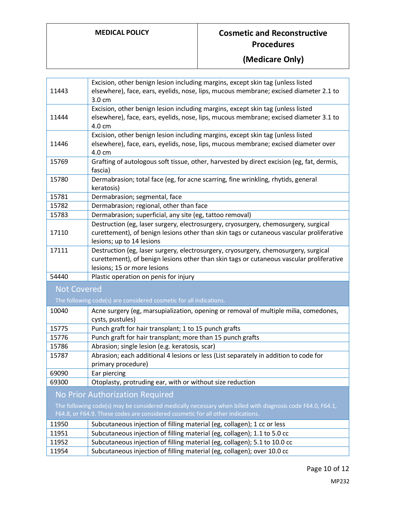|                                                                                                           | Excision, other benign lesion including margins, except skin tag (unless listed                                                                       |
|-----------------------------------------------------------------------------------------------------------|-------------------------------------------------------------------------------------------------------------------------------------------------------|
| 11443                                                                                                     | elsewhere), face, ears, eyelids, nose, lips, mucous membrane; excised diameter 2.1 to                                                                 |
|                                                                                                           | 3.0 cm                                                                                                                                                |
|                                                                                                           | Excision, other benign lesion including margins, except skin tag (unless listed                                                                       |
| 11444                                                                                                     | elsewhere), face, ears, eyelids, nose, lips, mucous membrane; excised diameter 3.1 to                                                                 |
|                                                                                                           | 4.0 cm                                                                                                                                                |
|                                                                                                           | Excision, other benign lesion including margins, except skin tag (unless listed                                                                       |
| 11446                                                                                                     | elsewhere), face, ears, eyelids, nose, lips, mucous membrane; excised diameter over                                                                   |
|                                                                                                           | 4.0 cm                                                                                                                                                |
| 15769                                                                                                     | Grafting of autologous soft tissue, other, harvested by direct excision (eg, fat, dermis,                                                             |
|                                                                                                           | fascia)                                                                                                                                               |
| 15780                                                                                                     | Dermabrasion; total face (eg, for acne scarring, fine wrinkling, rhytids, general                                                                     |
|                                                                                                           | keratosis)                                                                                                                                            |
| 15781                                                                                                     | Dermabrasion; segmental, face                                                                                                                         |
| 15782                                                                                                     | Dermabrasion; regional, other than face                                                                                                               |
| 15783                                                                                                     | Dermabrasion; superficial, any site (eg, tattoo removal)                                                                                              |
|                                                                                                           | Destruction (eg, laser surgery, electrosurgery, cryosurgery, chemosurgery, surgical                                                                   |
| 17110                                                                                                     | curettement), of benign lesions other than skin tags or cutaneous vascular proliferative                                                              |
|                                                                                                           | lesions; up to 14 lesions                                                                                                                             |
| 17111                                                                                                     | Destruction (eg, laser surgery, electrosurgery, cryosurgery, chemosurgery, surgical                                                                   |
|                                                                                                           | curettement), of benign lesions other than skin tags or cutaneous vascular proliferative                                                              |
|                                                                                                           | lesions; 15 or more lesions                                                                                                                           |
| 54440                                                                                                     | Plastic operation on penis for injury                                                                                                                 |
| <b>Not Covered</b>                                                                                        |                                                                                                                                                       |
|                                                                                                           | The following code(s) are considered cosmetic for all indications.                                                                                    |
| 10040                                                                                                     | Acne surgery (eg, marsupialization, opening or removal of multiple milia, comedones,                                                                  |
|                                                                                                           | cysts, pustules)                                                                                                                                      |
| 15775                                                                                                     | Punch graft for hair transplant; 1 to 15 punch grafts                                                                                                 |
| 15776                                                                                                     | Punch graft for hair transplant; more than 15 punch grafts                                                                                            |
| 15786                                                                                                     | Abrasion; single lesion (e.g. keratosis, scar)                                                                                                        |
| 15787                                                                                                     | Abrasion; each additional 4 lesions or less (List separately in addition to code for                                                                  |
|                                                                                                           | primary procedure)                                                                                                                                    |
| 69090                                                                                                     | Ear piercing                                                                                                                                          |
| 69300                                                                                                     | Otoplasty, protruding ear, with or without size reduction                                                                                             |
|                                                                                                           | No Prior Authorization Required                                                                                                                       |
| The following code(s) may be considered medically necessary when billed with diagnosis code F64.0, F64.1, |                                                                                                                                                       |
| F64.8, or F64.9. These codes are considered cosmetic for all other indications.                           |                                                                                                                                                       |
| 11950                                                                                                     | Subcutaneous injection of filling material (eg, collagen); 1 cc or less                                                                               |
|                                                                                                           |                                                                                                                                                       |
| 11951                                                                                                     |                                                                                                                                                       |
| 11952                                                                                                     | Subcutaneous injection of filling material (eg, collagen); 1.1 to 5.0 cc<br>Subcutaneous injection of filling material (eg, collagen); 5.1 to 10.0 cc |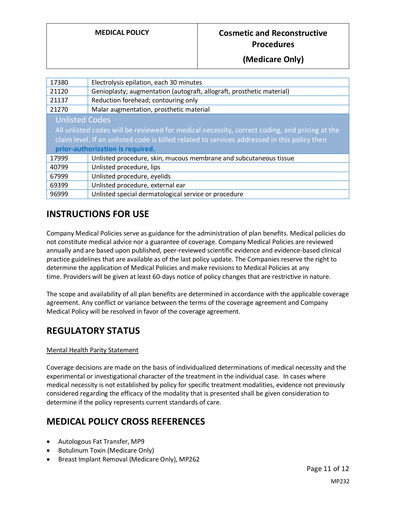**(Medicare Only)**

| 17380                                                                                         | Electrolysis epilation, each 30 minutes                               |
|-----------------------------------------------------------------------------------------------|-----------------------------------------------------------------------|
| 21120                                                                                         | Genioplasty; augmentation (autograft, allograft, prosthetic material) |
| 21137                                                                                         | Reduction forehead; contouring only                                   |
| 21270                                                                                         | Malar augmentation, prosthetic material                               |
| <b>Unlisted Codes</b>                                                                         |                                                                       |
| All unlisted codes will be reviewed for medical necessity, correct coding, and pricing at the |                                                                       |
| claim level. If an unlisted code is billed related to services addressed in this policy then  |                                                                       |
| prior-authorization is required.                                                              |                                                                       |
| 17999                                                                                         | Unlisted procedure, skin, mucous membrane and subcutaneous tissue     |
| 40799                                                                                         | Unlisted procedure, lips                                              |
| 67999                                                                                         | Unlisted procedure, eyelids                                           |
| 69399                                                                                         | Unlisted procedure, external ear                                      |
| 96999                                                                                         | Unlisted special dermatological service or procedure                  |

# **INSTRUCTIONS FOR USE**

Company Medical Policies serve as guidance for the administration of plan benefits. Medical policies do not constitute medical advice nor a guarantee of coverage. Company Medical Policies are reviewed annually and are based upon published, peer-reviewed scientific evidence and evidence-based clinical practice guidelines that are available as of the last policy update. The Companies reserve the right to determine the application of Medical Policies and make revisions to Medical Policies at any time. Providers will be given at least 60-days notice of policy changes that are restrictive in nature.

The scope and availability of all plan benefits are determined in accordance with the applicable coverage agreement. Any conflict or variance between the terms of the coverage agreement and Company Medical Policy will be resolved in favor of the coverage agreement.

# **REGULATORY STATUS**

### Mental Health Parity Statement

Coverage decisions are made on the basis of individualized determinations of medical necessity and the experimental or investigational character of the treatment in the individual case. In cases where medical necessity is not established by policy for specific treatment modalities, evidence not previously considered regarding the efficacy of the modality that is presented shall be given consideration to determine if the policy represents current standards of care.

# <span id="page-10-0"></span>**MEDICAL POLICY CROSS REFERENCES**

- Autologous Fat Transfer, MP9
- Botulinum Toxin (Medicare Only)
- Breast Implant Removal (Medicare Only), MP262